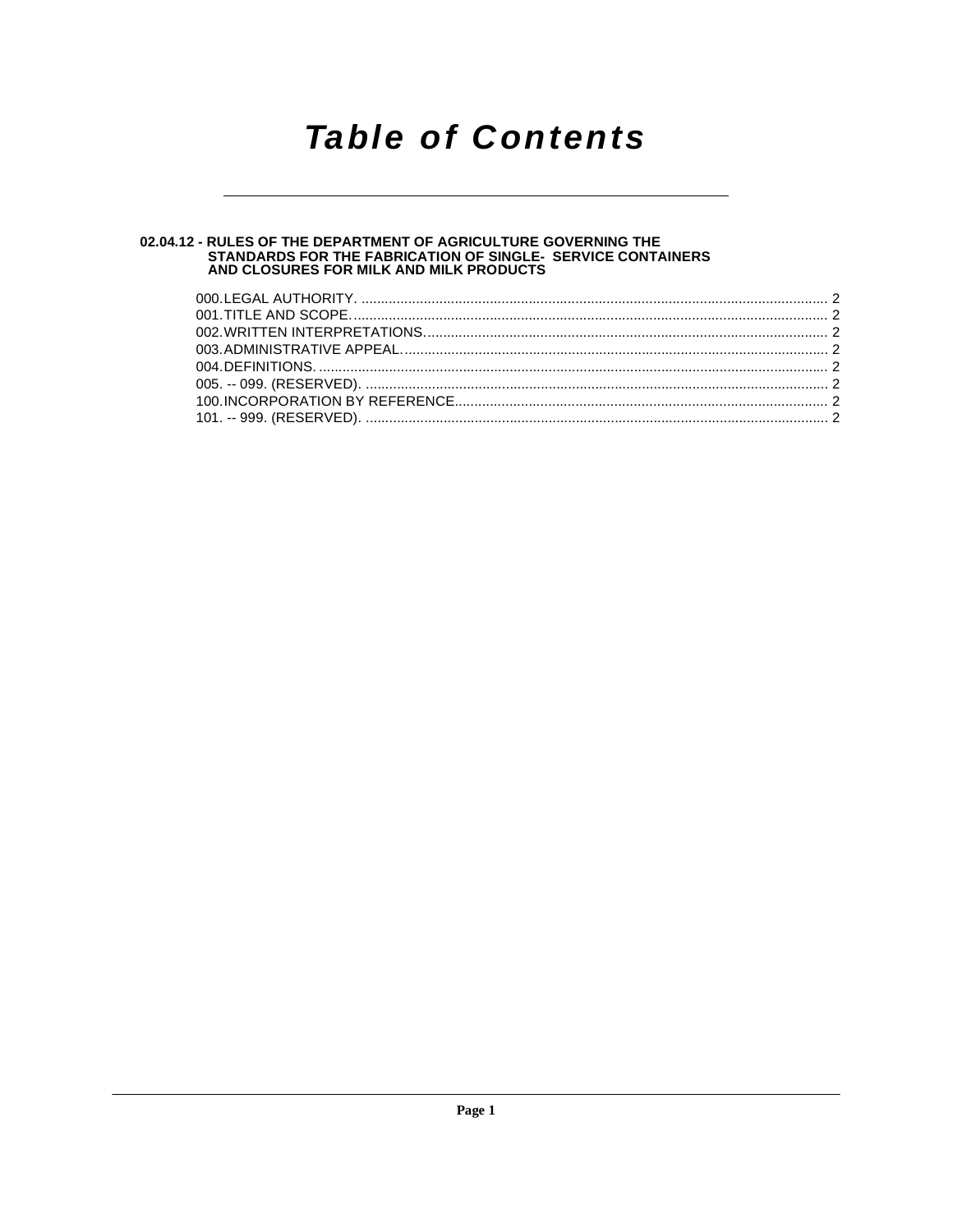### **Table of Contents**

# 02.04.12 - RULES OF THE DEPARTMENT OF AGRICULTURE GOVERNING THE<br>STANDARDS FOR THE FABRICATION OF SINGLE- SERVICE CONTAINERS<br>AND CLOSURES FOR MILK AND MILK PRODUCTS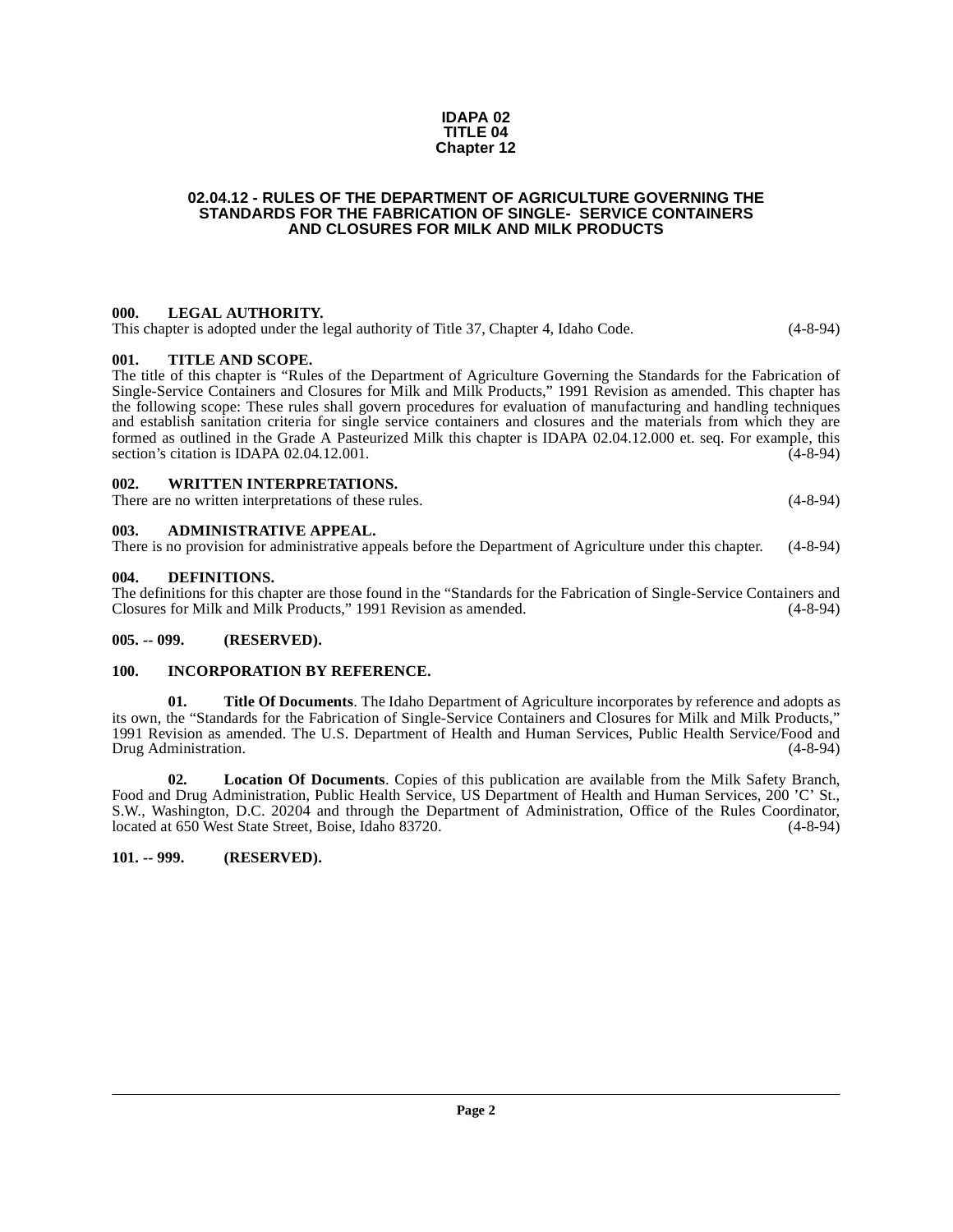#### **IDAPA 02 TITLE 04 Chapter 12**

#### <span id="page-1-0"></span>**02.04.12 - RULES OF THE DEPARTMENT OF AGRICULTURE GOVERNING THE STANDARDS FOR THE FABRICATION OF SINGLE- SERVICE CONTAINERS AND CLOSURES FOR MILK AND MILK PRODUCTS**

#### <span id="page-1-1"></span>**000. LEGAL AUTHORITY.**

This chapter is adopted under the legal authority of Title 37, Chapter 4, Idaho Code. (4-8-94)

#### <span id="page-1-2"></span>**001. TITLE AND SCOPE.**

The title of this chapter is "Rules of the Department of Agriculture Governing the Standards for the Fabrication of Single-Service Containers and Closures for Milk and Milk Products," 1991 Revision as amended. This chapter has the following scope: These rules shall govern procedures for evaluation of manufacturing and handling techniques and establish sanitation criteria for single service containers and closures and the materials from which they are formed as outlined in the Grade A Pasteurized Milk this chapter is IDAPA 02.04.12.000 et. seq. For example, this section's citation is IDAPA 02.04.12.001.

<span id="page-1-3"></span>

| 002 | <b>WRITTEN INTERPRETATIONS.</b>                      |                |
|-----|------------------------------------------------------|----------------|
|     | There are no written interpretations of these rules. | $(4 - 8 - 94)$ |

#### <span id="page-1-4"></span>**003. ADMINISTRATIVE APPEAL.**

There is no provision for administrative appeals before the Department of Agriculture under this chapter. (4-8-94)

#### <span id="page-1-9"></span><span id="page-1-5"></span>**004. DEFINITIONS.**

The definitions for this chapter are those found in the "Standards for the Fabrication of Single-Service Containers and Closures for Milk and Milk Products," 1991 Revision as amended. (4-8-94) Closures for Milk and Milk Products," 1991 Revision as amended.

#### <span id="page-1-6"></span>**005. -- 099. (RESERVED).**

#### <span id="page-1-10"></span><span id="page-1-7"></span>**100. INCORPORATION BY REFERENCE.**

<span id="page-1-12"></span>**01. Title Of Documents**. The Idaho Department of Agriculture incorporates by reference and adopts as its own, the "Standards for the Fabrication of Single-Service Containers and Closures for Milk and Milk Products," 1991 Revision as amended. The U.S. Department of Health and Human Services, Public Health Service/Food and Drug Administration. (4-8-94) Drug Administration.

<span id="page-1-11"></span>**02. Location Of Documents**. Copies of this publication are available from the Milk Safety Branch, Food and Drug Administration, Public Health Service, US Department of Health and Human Services, 200 'C' St., S.W., Washington, D.C. 20204 and through the Department of Administration, Office of the Rules Coordinator, located at 650 West State Street. Boise, Idaho 83720. (4-8-94) located at 650 West State Street, Boise, Idaho 83720.

#### <span id="page-1-8"></span>**101. -- 999. (RESERVED).**